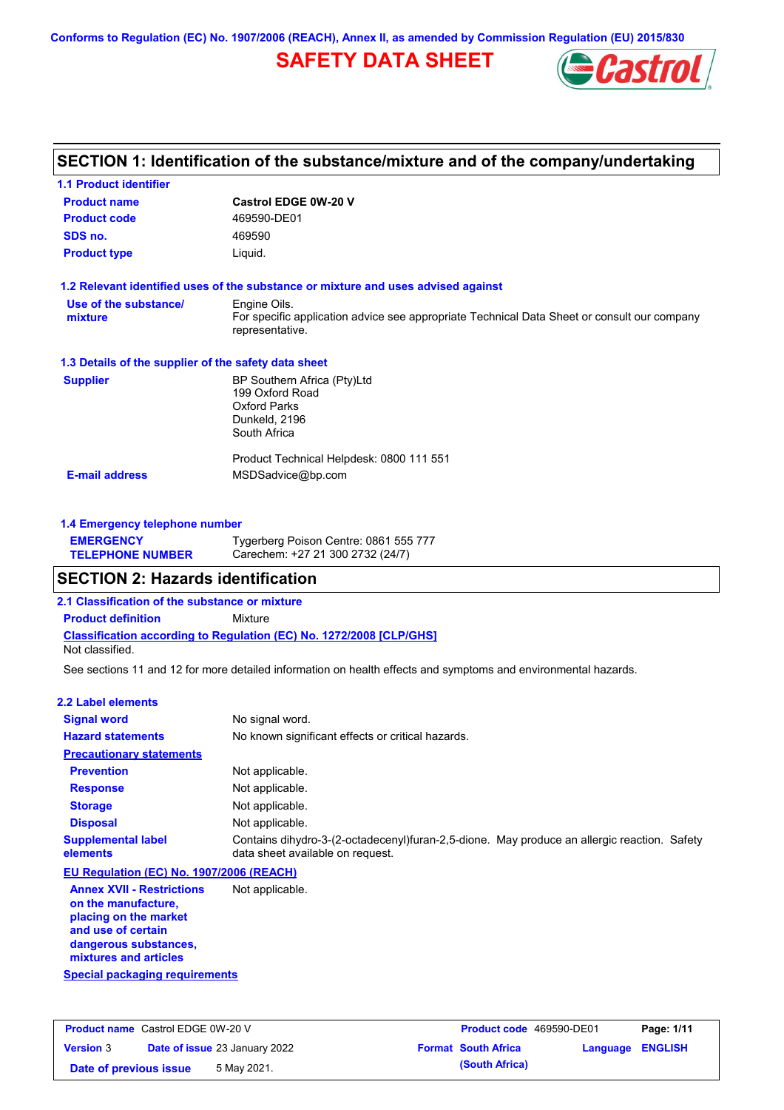**Conforms to Regulation (EC) No. 1907/2006 (REACH), Annex II, as amended by Commission Regulation (EU) 2015/830**

# **SAFETY DATA SHEET**



# **SECTION 1: Identification of the substance/mixture and of the company/undertaking**

| <b>1.1 Product identifier</b>                        |                                                                                                                |
|------------------------------------------------------|----------------------------------------------------------------------------------------------------------------|
| <b>Product name</b>                                  | <b>Castrol EDGE 0W-20 V</b>                                                                                    |
| <b>Product code</b>                                  | 469590-DE01                                                                                                    |
| SDS no.                                              | 469590                                                                                                         |
| <b>Product type</b>                                  | Liquid.                                                                                                        |
|                                                      | 1.2 Relevant identified uses of the substance or mixture and uses advised against                              |
| Use of the substance/                                | Engine Oils.                                                                                                   |
| mixture                                              | For specific application advice see appropriate Technical Data Sheet or consult our company<br>representative. |
| 1.3 Details of the supplier of the safety data sheet |                                                                                                                |
| <b>Supplier</b>                                      | BP Southern Africa (Pty)Ltd                                                                                    |
|                                                      | 199 Oxford Road                                                                                                |
|                                                      | <b>Oxford Parks</b><br>Dunkeld, 2196                                                                           |
|                                                      | South Africa                                                                                                   |
|                                                      | Product Technical Helpdesk: 0800 111 551                                                                       |
| <b>E-mail address</b>                                | MSDSadvice@bp.com                                                                                              |
|                                                      |                                                                                                                |
| 1.4 Emergency telephone number                       |                                                                                                                |

| <b>EMERGENCY</b>        | Tygerberg Poison Centre: 0861 555 777 |
|-------------------------|---------------------------------------|
| <b>TELEPHONE NUMBER</b> | Carechem: +27 21 300 2732 (24/7)      |

## **SECTION 2: Hazards identification**

**2.1 Classification of the substance or mixture**

**Classification according to Regulation (EC) No. 1272/2008 [CLP/GHS] Product definition** Mixture

Not classified.

See sections 11 and 12 for more detailed information on health effects and symptoms and environmental hazards.

### **2.2 Label elements**

| <b>Signal word</b>                                                                                                                                       | No signal word.                                                                                                                 |
|----------------------------------------------------------------------------------------------------------------------------------------------------------|---------------------------------------------------------------------------------------------------------------------------------|
| <b>Hazard statements</b>                                                                                                                                 | No known significant effects or critical hazards.                                                                               |
| <b>Precautionary statements</b>                                                                                                                          |                                                                                                                                 |
| <b>Prevention</b>                                                                                                                                        | Not applicable.                                                                                                                 |
| <b>Response</b>                                                                                                                                          | Not applicable.                                                                                                                 |
| <b>Storage</b>                                                                                                                                           | Not applicable.                                                                                                                 |
| <b>Disposal</b>                                                                                                                                          | Not applicable.                                                                                                                 |
| <b>Supplemental label</b><br>elements                                                                                                                    | Contains dihydro-3-(2-octadecenyl)furan-2,5-dione. May produce an allergic reaction. Safety<br>data sheet available on request. |
| EU Regulation (EC) No. 1907/2006 (REACH)                                                                                                                 |                                                                                                                                 |
| <b>Annex XVII - Restrictions</b><br>on the manufacture.<br>placing on the market<br>and use of certain<br>dangerous substances,<br>mixtures and articles | Not applicable.                                                                                                                 |
| Special packaging requirements                                                                                                                           |                                                                                                                                 |

**Product name** Castrol EDGE 0W-20 V **Version** 3 **Product code** 469590-DE01 **Page: 1/11 Date of issue** 23 January 2022 **Format South Africa Language ENGLISH Date of previous issue 5 May 2021. (South Africa) (South Africa)**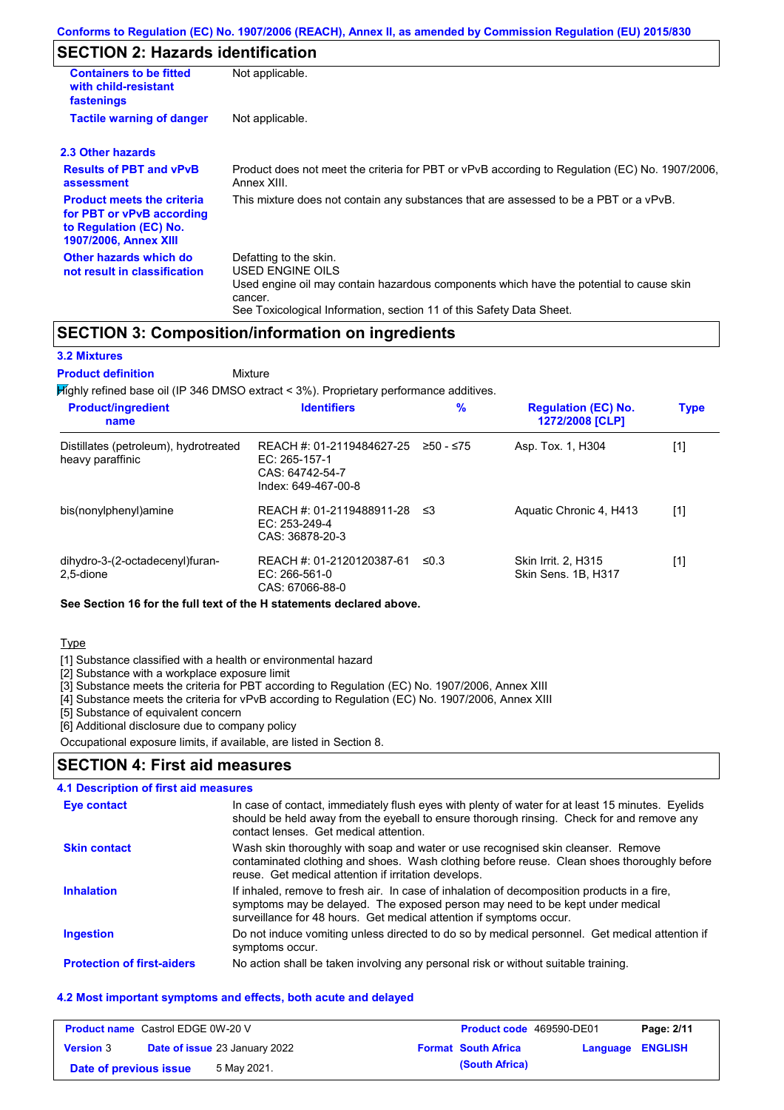# **SECTION 2: Hazards identification**

| <b>Containers to be fitted</b><br>with child-resistant<br>fastenings                                              | Not applicable.                                                                                                                                                                                                          |  |  |  |
|-------------------------------------------------------------------------------------------------------------------|--------------------------------------------------------------------------------------------------------------------------------------------------------------------------------------------------------------------------|--|--|--|
| <b>Tactile warning of danger</b><br>Not applicable.                                                               |                                                                                                                                                                                                                          |  |  |  |
| 2.3 Other hazards                                                                                                 |                                                                                                                                                                                                                          |  |  |  |
| <b>Results of PBT and vPvB</b><br>assessment                                                                      | Product does not meet the criteria for PBT or vPvB according to Regulation (EC) No. 1907/2006,<br>Annex XIII.                                                                                                            |  |  |  |
| <b>Product meets the criteria</b><br>for PBT or vPvB according<br>to Regulation (EC) No.<br>1907/2006, Annex XIII | This mixture does not contain any substances that are assessed to be a PBT or a vPvB.                                                                                                                                    |  |  |  |
| Other hazards which do<br>not result in classification                                                            | Defatting to the skin.<br>USED ENGINE OILS<br>Used engine oil may contain hazardous components which have the potential to cause skin<br>cancer.<br>See Toxicological Information, section 11 of this Safety Data Sheet. |  |  |  |

### **SECTION 3: Composition/information on ingredients**

### **3.2 Mixtures**

Mixture **Product definition**

Highly refined base oil (IP 346 DMSO extract < 3%). Proprietary performance additives.

| <b>Product/ingredient</b><br>name                         | <b>Identifiers</b>                                                                                         | $\%$       | <b>Regulation (EC) No.</b><br>1272/2008 [CLP]     | <b>Type</b> |
|-----------------------------------------------------------|------------------------------------------------------------------------------------------------------------|------------|---------------------------------------------------|-------------|
| Distillates (petroleum), hydrotreated<br>heavy paraffinic | REACH #: 01-2119484627-25 $\geq$ 50 - $\leq$ 75<br>EC: 265-157-1<br>CAS: 64742-54-7<br>Index: 649-467-00-8 |            | Asp. Tox. 1, H304                                 | [1]         |
| bis(nonylphenyl)amine                                     | REACH #: 01-2119488911-28 ≤3<br>EC: $253-249-4$<br>CAS: 36878-20-3                                         |            | Aquatic Chronic 4, H413                           | $[1]$       |
| dihydro-3-(2-octadecenyl)furan-<br>2.5-dione              | REACH #: 01-2120120387-61<br>EC: 266-561-0<br>CAS: 67066-88-0                                              | $\leq 0.3$ | <b>Skin Irrit. 2. H315</b><br>Skin Sens. 1B, H317 | [1]         |

**See Section 16 for the full text of the H statements declared above.**

### Type

[1] Substance classified with a health or environmental hazard

[2] Substance with a workplace exposure limit

[3] Substance meets the criteria for PBT according to Regulation (EC) No. 1907/2006, Annex XIII

[4] Substance meets the criteria for vPvB according to Regulation (EC) No. 1907/2006, Annex XIII

[5] Substance of equivalent concern

[6] Additional disclosure due to company policy

Occupational exposure limits, if available, are listed in Section 8.

### **SECTION 4: First aid measures**

### **4.1 Description of first aid measures**

| <b>Eye contact</b>                | In case of contact, immediately flush eyes with plenty of water for at least 15 minutes. Eyelids<br>should be held away from the eyeball to ensure thorough rinsing. Check for and remove any<br>contact lenses. Get medical attention.             |
|-----------------------------------|-----------------------------------------------------------------------------------------------------------------------------------------------------------------------------------------------------------------------------------------------------|
| <b>Skin contact</b>               | Wash skin thoroughly with soap and water or use recognised skin cleanser. Remove<br>contaminated clothing and shoes. Wash clothing before reuse. Clean shoes thoroughly before<br>reuse. Get medical attention if irritation develops.              |
| <b>Inhalation</b>                 | If inhaled, remove to fresh air. In case of inhalation of decomposition products in a fire,<br>symptoms may be delayed. The exposed person may need to be kept under medical<br>surveillance for 48 hours. Get medical attention if symptoms occur. |
| <b>Ingestion</b>                  | Do not induce vomiting unless directed to do so by medical personnel. Get medical attention if<br>symptoms occur.                                                                                                                                   |
| <b>Protection of first-aiders</b> | No action shall be taken involving any personal risk or without suitable training.                                                                                                                                                                  |

### **4.2 Most important symptoms and effects, both acute and delayed**

| <b>Product name</b> Castrol EDGE 0W-20 V |  | <b>Product code</b> 469590-DE01      |  | Page: 2/11                 |                  |  |
|------------------------------------------|--|--------------------------------------|--|----------------------------|------------------|--|
| <b>Version 3</b>                         |  | <b>Date of issue 23 January 2022</b> |  | <b>Format South Africa</b> | Language ENGLISH |  |
| Date of previous issue                   |  | 5 May 2021.                          |  | (South Africa)             |                  |  |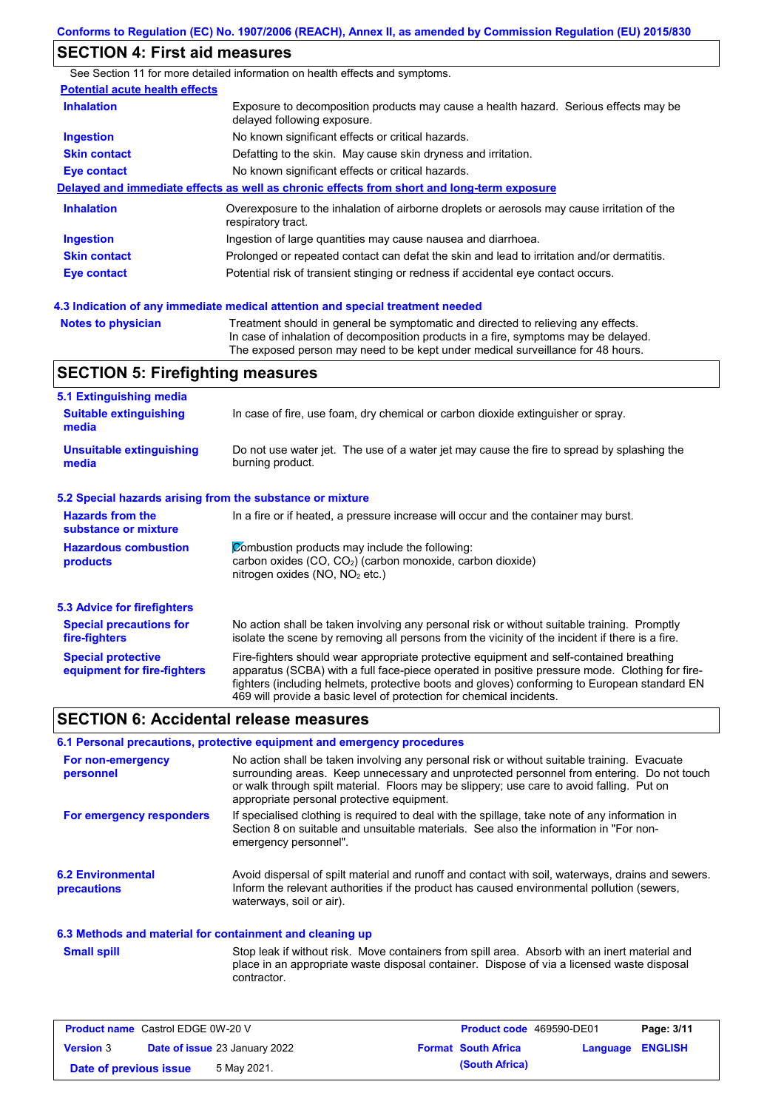## **SECTION 4: First aid measures**

See Section 11 for more detailed information on health effects and symptoms. **Potential acute health effects Inhalation** Exposure to decomposition products may cause a health hazard. Serious effects may be delayed following exposure. **Ingestion** No known significant effects or critical hazards. **Skin contact** Defatting to the skin. May cause skin dryness and irritation. **Eye contact** No known significant effects or critical hazards. **Delayed and immediate effects as well as chronic effects from short and long-term exposure Inhalation Ingestion Skin contact Eye contact** Overexposure to the inhalation of airborne droplets or aerosols may cause irritation of the respiratory tract. Ingestion of large quantities may cause nausea and diarrhoea. Prolonged or repeated contact can defat the skin and lead to irritation and/or dermatitis. Potential risk of transient stinging or redness if accidental eye contact occurs.

**Notes to physician** Treatment should in general be symptomatic and directed to relieving any effects. In case of inhalation of decomposition products in a fire, symptoms may be delayed. The exposed person may need to be kept under medical surveillance for 48 hours. **4.3 Indication of any immediate medical attention and special treatment needed**

# **SECTION 5: Firefighting measures**

| 5.1 Extinguishing media                                                                                                                |                                                                                                                                                                                                                                                                                                                                                                   |  |  |  |
|----------------------------------------------------------------------------------------------------------------------------------------|-------------------------------------------------------------------------------------------------------------------------------------------------------------------------------------------------------------------------------------------------------------------------------------------------------------------------------------------------------------------|--|--|--|
| <b>Suitable extinguishing</b><br>media                                                                                                 | In case of fire, use foam, dry chemical or carbon dioxide extinguisher or spray.                                                                                                                                                                                                                                                                                  |  |  |  |
| <b>Unsuitable extinguishing</b><br>media                                                                                               | Do not use water jet. The use of a water jet may cause the fire to spread by splashing the<br>burning product.                                                                                                                                                                                                                                                    |  |  |  |
| 5.2 Special hazards arising from the substance or mixture                                                                              |                                                                                                                                                                                                                                                                                                                                                                   |  |  |  |
| <b>Hazards from the</b><br>In a fire or if heated, a pressure increase will occur and the container may burst.<br>substance or mixture |                                                                                                                                                                                                                                                                                                                                                                   |  |  |  |
| <b>Hazardous combustion</b><br>products                                                                                                | Combustion products may include the following:<br>carbon oxides $(CO, CO2)$ (carbon monoxide, carbon dioxide)<br>nitrogen oxides ( $NO$ , $NO2$ etc.)                                                                                                                                                                                                             |  |  |  |
| 5.3 Advice for firefighters                                                                                                            |                                                                                                                                                                                                                                                                                                                                                                   |  |  |  |
| <b>Special precautions for</b><br>fire-fighters                                                                                        | No action shall be taken involving any personal risk or without suitable training. Promptly<br>isolate the scene by removing all persons from the vicinity of the incident if there is a fire.                                                                                                                                                                    |  |  |  |
| <b>Special protective</b><br>equipment for fire-fighters                                                                               | Fire-fighters should wear appropriate protective equipment and self-contained breathing<br>apparatus (SCBA) with a full face-piece operated in positive pressure mode. Clothing for fire-<br>fighters (including helmets, protective boots and gloves) conforming to European standard EN<br>469 will provide a basic level of protection for chemical incidents. |  |  |  |

### **SECTION 6: Accidental release measures**

#### **6.1 Personal precautions, protective equipment and emergency procedures**

| For non-emergency<br>personnel          | No action shall be taken involving any personal risk or without suitable training. Evacuate<br>surrounding areas. Keep unnecessary and unprotected personnel from entering. Do not touch<br>or walk through spilt material. Floors may be slippery; use care to avoid falling. Put on<br>appropriate personal protective equipment. |
|-----------------------------------------|-------------------------------------------------------------------------------------------------------------------------------------------------------------------------------------------------------------------------------------------------------------------------------------------------------------------------------------|
| For emergency responders                | If specialised clothing is required to deal with the spillage, take note of any information in<br>Section 8 on suitable and unsuitable materials. See also the information in "For non-<br>emergency personnel".                                                                                                                    |
| <b>6.2 Environmental</b><br>precautions | Avoid dispersal of spilt material and runoff and contact with soil, waterways, drains and sewers.<br>Inform the relevant authorities if the product has caused environmental pollution (sewers,<br>waterways, soil or air).                                                                                                         |

#### **6.3 Methods and material for containment and cleaning up**

**Small spill**

Stop leak if without risk. Move containers from spill area. Absorb with an inert material and place in an appropriate waste disposal container. Dispose of via a licensed waste disposal contractor.

| <b>Product name</b> Castrol EDGE 0W-20 V |  | <b>Product code</b> 469590-DE01      |  | Page: 3/11                 |                  |  |
|------------------------------------------|--|--------------------------------------|--|----------------------------|------------------|--|
| <b>Version 3</b>                         |  | <b>Date of issue 23 January 2022</b> |  | <b>Format South Africa</b> | Language ENGLISH |  |
| Date of previous issue                   |  | 5 May 2021.                          |  | (South Africa)             |                  |  |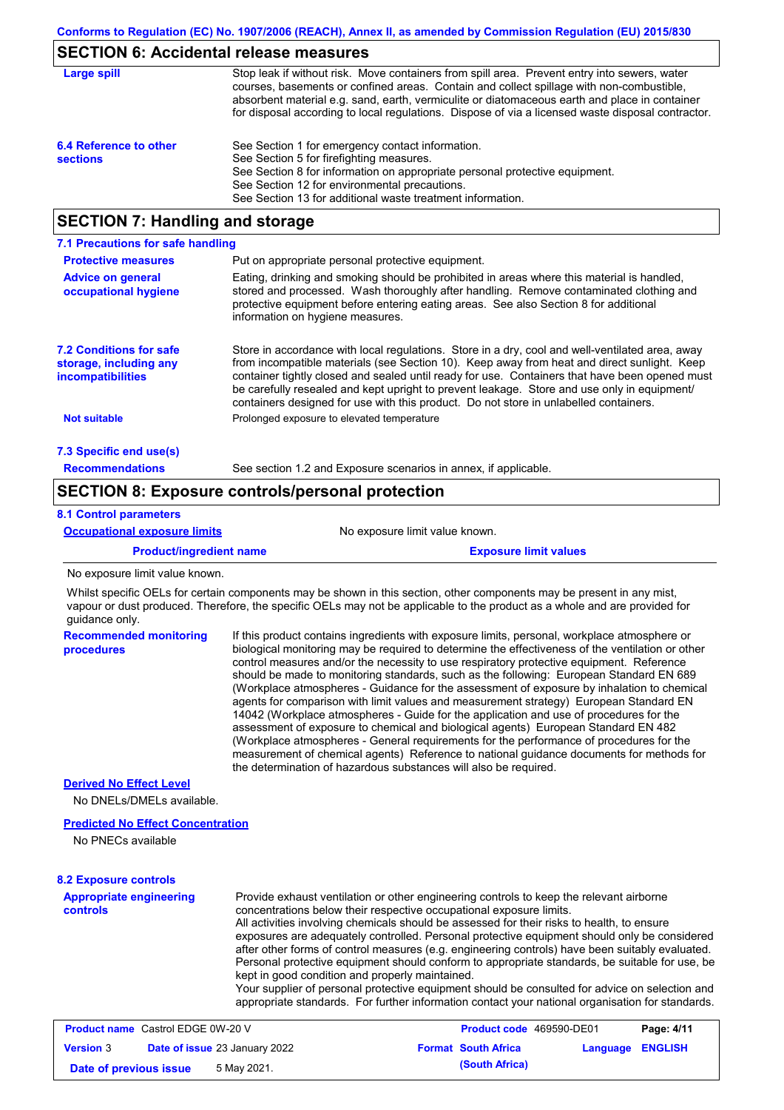## **SECTION 6: Accidental release measures**

| Large spill                               | Stop leak if without risk. Move containers from spill area. Prevent entry into sewers, water<br>courses, basements or confined areas. Contain and collect spillage with non-combustible,<br>absorbent material e.g. sand, earth, vermiculite or diatomaceous earth and place in container<br>for disposal according to local regulations. Dispose of via a licensed waste disposal contractor. |
|-------------------------------------------|------------------------------------------------------------------------------------------------------------------------------------------------------------------------------------------------------------------------------------------------------------------------------------------------------------------------------------------------------------------------------------------------|
| 6.4 Reference to other<br><b>sections</b> | See Section 1 for emergency contact information.<br>See Section 5 for firefighting measures.<br>See Section 8 for information on appropriate personal protective equipment.<br>See Section 12 for environmental precautions.<br>See Section 13 for additional waste treatment information.                                                                                                     |

## **SECTION 7: Handling and storage**

| 7.1 Precautions for safe handling                                             |                                                                                                                                                                                                                                                                                                                                                                                                                                                                                          |  |  |  |
|-------------------------------------------------------------------------------|------------------------------------------------------------------------------------------------------------------------------------------------------------------------------------------------------------------------------------------------------------------------------------------------------------------------------------------------------------------------------------------------------------------------------------------------------------------------------------------|--|--|--|
| <b>Protective measures</b>                                                    | Put on appropriate personal protective equipment.                                                                                                                                                                                                                                                                                                                                                                                                                                        |  |  |  |
| <b>Advice on general</b><br>occupational hygiene                              | Eating, drinking and smoking should be prohibited in areas where this material is handled,<br>stored and processed. Wash thoroughly after handling. Remove contaminated clothing and<br>protective equipment before entering eating areas. See also Section 8 for additional<br>information on hygiene measures.                                                                                                                                                                         |  |  |  |
| <b>7.2 Conditions for safe</b><br>storage, including any<br>incompatibilities | Store in accordance with local requiations. Store in a dry, cool and well-ventilated area, away<br>from incompatible materials (see Section 10). Keep away from heat and direct sunlight. Keep<br>container tightly closed and sealed until ready for use. Containers that have been opened must<br>be carefully resealed and kept upright to prevent leakage. Store and use only in equipment/<br>containers designed for use with this product. Do not store in unlabelled containers. |  |  |  |
| <b>Not suitable</b>                                                           | Prolonged exposure to elevated temperature                                                                                                                                                                                                                                                                                                                                                                                                                                               |  |  |  |
| 7.3 Specific end use(s)                                                       |                                                                                                                                                                                                                                                                                                                                                                                                                                                                                          |  |  |  |
| <b>Recommendations</b>                                                        | See section 1.2 and Exposure scenarios in annex, if applicable.                                                                                                                                                                                                                                                                                                                                                                                                                          |  |  |  |

## **SECTION 8: Exposure controls/personal protection**

### **8.1 Control parameters**

| <b>Occupational exposure limits</b> | No exposure limit value known.                                                                                        |  |  |  |  |
|-------------------------------------|-----------------------------------------------------------------------------------------------------------------------|--|--|--|--|
| <b>Product/ingredient name</b>      | <b>Exposure limit values</b>                                                                                          |  |  |  |  |
| No exposure limit value known.      |                                                                                                                       |  |  |  |  |
|                                     | Whilst specific OFI s for certain components may be shown in this section other components may be present in any mist |  |  |  |  |

Whilst specific OELs for certain components may be shown in this section, other components may be present in any mist, vapour or dust produced. Therefore, the specific OELs may not be applicable to the product as a whole and are provided for guidance only.

| <b>Recommended monitoring</b><br>procedures | If this product contains ingredients with exposure limits, personal, workplace atmosphere or<br>biological monitoring may be required to determine the effectiveness of the ventilation or other<br>control measures and/or the necessity to use respiratory protective equipment. Reference<br>should be made to monitoring standards, such as the following: European Standard EN 689<br>(Workplace atmospheres - Guidance for the assessment of exposure by inhalation to chemical<br>agents for comparison with limit values and measurement strategy) European Standard EN<br>14042 (Workplace atmospheres - Guide for the application and use of procedures for the<br>assessment of exposure to chemical and biological agents) European Standard EN 482<br>(Workplace atmospheres - General requirements for the performance of procedures for the<br>measurement of chemical agents) Reference to national quidance documents for methods for<br>the determination of hazardous substances will also be required. |  |
|---------------------------------------------|----------------------------------------------------------------------------------------------------------------------------------------------------------------------------------------------------------------------------------------------------------------------------------------------------------------------------------------------------------------------------------------------------------------------------------------------------------------------------------------------------------------------------------------------------------------------------------------------------------------------------------------------------------------------------------------------------------------------------------------------------------------------------------------------------------------------------------------------------------------------------------------------------------------------------------------------------------------------------------------------------------------------------|--|
| <b>Derived No Effect Level</b>              |                                                                                                                                                                                                                                                                                                                                                                                                                                                                                                                                                                                                                                                                                                                                                                                                                                                                                                                                                                                                                            |  |
| No DNELs/DMELs available.                   |                                                                                                                                                                                                                                                                                                                                                                                                                                                                                                                                                                                                                                                                                                                                                                                                                                                                                                                                                                                                                            |  |

### **Predicted No Effect Concentration**

No PNECs available

### **8.2 Exposure controls**

**Appropriate engineering controls** Provide exhaust ventilation or other engineering controls to keep the relevant airborne concentrations below their respective occupational exposure limits. All activities involving chemicals should be assessed for their risks to health, to ensure exposures are adequately controlled. Personal protective equipment should only be considered after other forms of control measures (e.g. engineering controls) have been suitably evaluated. Personal protective equipment should conform to appropriate standards, be suitable for use, be kept in good condition and properly maintained. Your supplier of personal protective equipment should be consulted for advice on selection and appropriate standards. For further information contact your national organisation for standards.

| <b>Product name</b> Castrol EDGE 0W-20 V |  | Product code 469590-DE01             |                            | Page: 4/11       |  |
|------------------------------------------|--|--------------------------------------|----------------------------|------------------|--|
| <b>Version 3</b>                         |  | <b>Date of issue 23 January 2022</b> | <b>Format South Africa</b> | Language ENGLISH |  |
| Date of previous issue                   |  | 5 May 2021.                          | (South Africa)             |                  |  |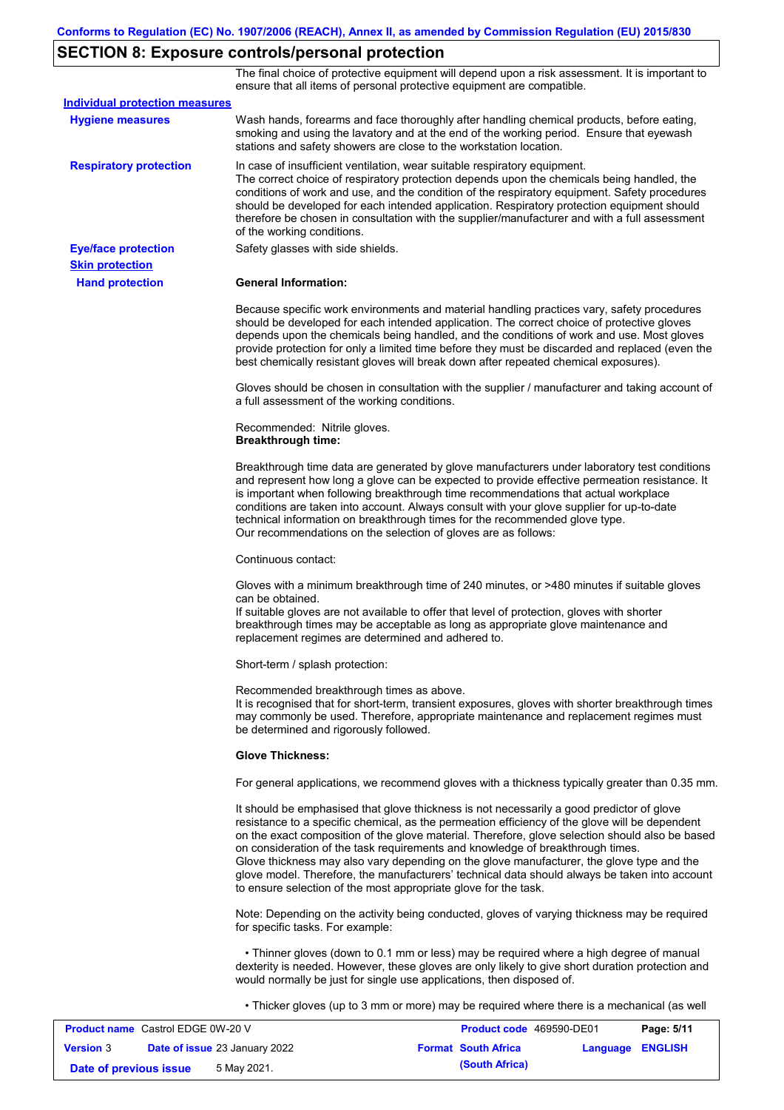# **SECTION 8: Exposure controls/personal protection**

The final choice of protective equipment will depend upon a risk assessment. It is important to ensure that all items of personal protective equipment are compatible.

| <b>Individual protection measures</b> |                                                                                                                                                                                                                                                                                                                                                                                                                                                                                                                                                                                                                                                   |
|---------------------------------------|---------------------------------------------------------------------------------------------------------------------------------------------------------------------------------------------------------------------------------------------------------------------------------------------------------------------------------------------------------------------------------------------------------------------------------------------------------------------------------------------------------------------------------------------------------------------------------------------------------------------------------------------------|
| <b>Hygiene measures</b>               | Wash hands, forearms and face thoroughly after handling chemical products, before eating,<br>smoking and using the lavatory and at the end of the working period. Ensure that eyewash<br>stations and safety showers are close to the workstation location.                                                                                                                                                                                                                                                                                                                                                                                       |
| <b>Respiratory protection</b>         | In case of insufficient ventilation, wear suitable respiratory equipment.<br>The correct choice of respiratory protection depends upon the chemicals being handled, the<br>conditions of work and use, and the condition of the respiratory equipment. Safety procedures<br>should be developed for each intended application. Respiratory protection equipment should<br>therefore be chosen in consultation with the supplier/manufacturer and with a full assessment<br>of the working conditions.                                                                                                                                             |
| <b>Eye/face protection</b>            | Safety glasses with side shields.                                                                                                                                                                                                                                                                                                                                                                                                                                                                                                                                                                                                                 |
| <b>Skin protection</b>                |                                                                                                                                                                                                                                                                                                                                                                                                                                                                                                                                                                                                                                                   |
| <b>Hand protection</b>                | <b>General Information:</b>                                                                                                                                                                                                                                                                                                                                                                                                                                                                                                                                                                                                                       |
|                                       | Because specific work environments and material handling practices vary, safety procedures<br>should be developed for each intended application. The correct choice of protective gloves<br>depends upon the chemicals being handled, and the conditions of work and use. Most gloves<br>provide protection for only a limited time before they must be discarded and replaced (even the<br>best chemically resistant gloves will break down after repeated chemical exposures).                                                                                                                                                                  |
|                                       | Gloves should be chosen in consultation with the supplier / manufacturer and taking account of<br>a full assessment of the working conditions.                                                                                                                                                                                                                                                                                                                                                                                                                                                                                                    |
|                                       | Recommended: Nitrile gloves.<br><b>Breakthrough time:</b>                                                                                                                                                                                                                                                                                                                                                                                                                                                                                                                                                                                         |
|                                       | Breakthrough time data are generated by glove manufacturers under laboratory test conditions<br>and represent how long a glove can be expected to provide effective permeation resistance. It<br>is important when following breakthrough time recommendations that actual workplace<br>conditions are taken into account. Always consult with your glove supplier for up-to-date<br>technical information on breakthrough times for the recommended glove type.<br>Our recommendations on the selection of gloves are as follows:                                                                                                                |
|                                       | Continuous contact:                                                                                                                                                                                                                                                                                                                                                                                                                                                                                                                                                                                                                               |
|                                       | Gloves with a minimum breakthrough time of 240 minutes, or >480 minutes if suitable gloves<br>can be obtained.<br>If suitable gloves are not available to offer that level of protection, gloves with shorter<br>breakthrough times may be acceptable as long as appropriate glove maintenance and<br>replacement regimes are determined and adhered to.                                                                                                                                                                                                                                                                                          |
|                                       | Short-term / splash protection:                                                                                                                                                                                                                                                                                                                                                                                                                                                                                                                                                                                                                   |
|                                       | Recommended breakthrough times as above.<br>It is recognised that for short-term, transient exposures, gloves with shorter breakthrough times<br>may commonly be used. Therefore, appropriate maintenance and replacement regimes must<br>be determined and rigorously followed.                                                                                                                                                                                                                                                                                                                                                                  |
|                                       | <b>Glove Thickness:</b>                                                                                                                                                                                                                                                                                                                                                                                                                                                                                                                                                                                                                           |
|                                       | For general applications, we recommend gloves with a thickness typically greater than 0.35 mm.                                                                                                                                                                                                                                                                                                                                                                                                                                                                                                                                                    |
|                                       | It should be emphasised that glove thickness is not necessarily a good predictor of glove<br>resistance to a specific chemical, as the permeation efficiency of the glove will be dependent<br>on the exact composition of the glove material. Therefore, glove selection should also be based<br>on consideration of the task requirements and knowledge of breakthrough times.<br>Glove thickness may also vary depending on the glove manufacturer, the glove type and the<br>glove model. Therefore, the manufacturers' technical data should always be taken into account<br>to ensure selection of the most appropriate glove for the task. |
|                                       | Note: Depending on the activity being conducted, gloves of varying thickness may be required<br>for specific tasks. For example:                                                                                                                                                                                                                                                                                                                                                                                                                                                                                                                  |
|                                       | • Thinner gloves (down to 0.1 mm or less) may be required where a high degree of manual<br>dexterity is needed. However, these gloves are only likely to give short duration protection and<br>would normally be just for single use applications, then disposed of.                                                                                                                                                                                                                                                                                                                                                                              |
|                                       | • Thicker gloves (up to 3 mm or more) may be required where there is a mechanical (as well                                                                                                                                                                                                                                                                                                                                                                                                                                                                                                                                                        |

| <b>Product name</b> Castrol EDGE 0W-20 V |                                      | <b>Product code</b> 469590-DE01 | Page: 5/11              |
|------------------------------------------|--------------------------------------|---------------------------------|-------------------------|
| <b>Version 3</b>                         | <b>Date of issue 23 January 2022</b> | <b>Format South Africa</b>      | <b>Language ENGLISH</b> |
| Date of previous issue                   | 5 May 2021.                          | (South Africa)                  |                         |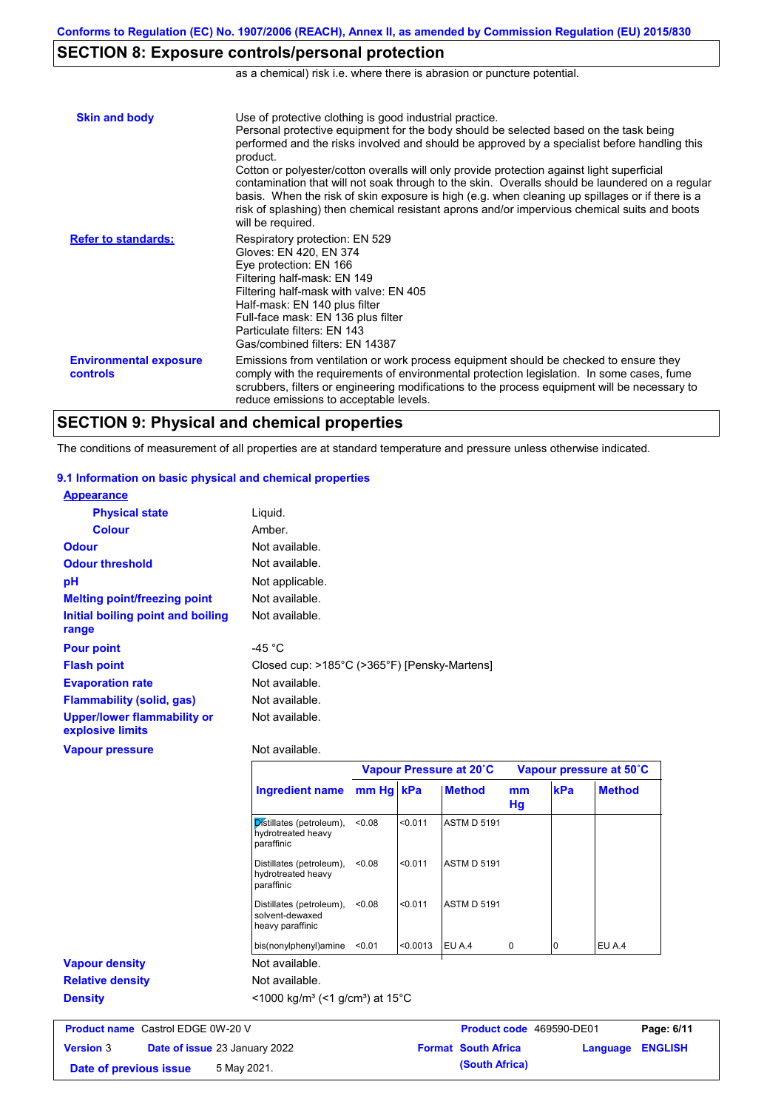# **SECTION 8: Exposure controls/personal protection**

as a chemical) risk i.e. where there is abrasion or puncture potential.

| <b>Skin and body</b>                             | Use of protective clothing is good industrial practice.<br>Personal protective equipment for the body should be selected based on the task being<br>performed and the risks involved and should be approved by a specialist before handling this<br>product.<br>Cotton or polyester/cotton overalls will only provide protection against light superficial<br>contamination that will not soak through to the skin. Overalls should be laundered on a regular<br>basis. When the risk of skin exposure is high (e.g. when cleaning up spillages or if there is a<br>risk of splashing) then chemical resistant aprons and/or impervious chemical suits and boots<br>will be required. |
|--------------------------------------------------|---------------------------------------------------------------------------------------------------------------------------------------------------------------------------------------------------------------------------------------------------------------------------------------------------------------------------------------------------------------------------------------------------------------------------------------------------------------------------------------------------------------------------------------------------------------------------------------------------------------------------------------------------------------------------------------|
| <b>Refer to standards:</b>                       | Respiratory protection: EN 529<br>Gloves: EN 420, EN 374<br>Eye protection: EN 166<br>Filtering half-mask: EN 149<br>Filtering half-mask with valve: EN 405<br>Half-mask: EN 140 plus filter<br>Full-face mask: EN 136 plus filter<br>Particulate filters: EN 143<br>Gas/combined filters: EN 14387                                                                                                                                                                                                                                                                                                                                                                                   |
| <b>Environmental exposure</b><br><b>controls</b> | Emissions from ventilation or work process equipment should be checked to ensure they<br>comply with the requirements of environmental protection legislation. In some cases, fume<br>scrubbers, filters or engineering modifications to the process equipment will be necessary to<br>reduce emissions to acceptable levels.                                                                                                                                                                                                                                                                                                                                                         |

# **SECTION 9: Physical and chemical properties**

The conditions of measurement of all properties are at standard temperature and pressure unless otherwise indicated.

### **9.1 Information on basic physical and chemical properties**

| <b>Appearance</b>                               |                                              |
|-------------------------------------------------|----------------------------------------------|
| <b>Physical state</b>                           | Liquid.                                      |
| <b>Colour</b>                                   | Amber.                                       |
| <b>Odour</b>                                    | Not available.                               |
| <b>Odour threshold</b>                          | Not available.                               |
| рH                                              | Not applicable.                              |
| <b>Melting point/freezing point</b>             | Not available.                               |
| Initial boiling point and boiling               | Not available.                               |
| range                                           |                                              |
| <b>Pour point</b>                               | -45 °C                                       |
| <b>Flash point</b>                              | Closed cup: >185°C (>365°F) [Pensky-Martens] |
| <b>Evaporation rate</b>                         | Not available.                               |
| <b>Flammability (solid, gas)</b>                | Not available.                               |
| Upper/lower flammability or<br>explosive limits | Not available.                               |
| <b>Vapour pressure</b>                          | Not available.                               |

|                         |                                                                      | Vapour Pressure at 20°C |          |                    | Vapour pressure at 50°C |          |               |
|-------------------------|----------------------------------------------------------------------|-------------------------|----------|--------------------|-------------------------|----------|---------------|
|                         | Ingredient name                                                      | mm Hg kPa               |          | <b>Method</b>      | mm<br>Hg                | kPa      | <b>Method</b> |
|                         | Distillates (petroleum),<br>hydrotreated heavy<br>paraffinic         | < 0.08                  | < 0.011  | <b>ASTM D 5191</b> |                         |          |               |
|                         | Distillates (petroleum),<br>hydrotreated heavy<br>paraffinic         | < 0.08                  | < 0.011  | <b>ASTM D 5191</b> |                         |          |               |
|                         | Distillates (petroleum),<br>solvent-dewaxed<br>heavy paraffinic      | < 0.08                  | < 0.011  | <b>ASTM D 5191</b> |                         |          |               |
|                         | bis(nonylphenyl)amine                                                | < 0.01                  | < 0.0013 | EU A.4             | 0                       | $\Omega$ | EU A.4        |
| <b>Vapour density</b>   | Not available.                                                       |                         |          |                    |                         |          |               |
| <b>Relative density</b> | Not available.                                                       |                         |          |                    |                         |          |               |
| <b>Density</b>          | <1000 kg/m <sup>3</sup> (<1 g/cm <sup>3</sup> ) at 15 <sup>°</sup> C |                         |          |                    |                         |          |               |

| <b>Product name</b> Castrol EDGE 0W-20 V |                                      | <b>Product code</b> 469590-DE01 |                  | Page: 6/11 |
|------------------------------------------|--------------------------------------|---------------------------------|------------------|------------|
| <b>Version 3</b>                         | <b>Date of issue 23 January 2022</b> | <b>Format South Africa</b>      | Language ENGLISH |            |
| Date of previous issue                   | 5 May 2021.                          | (South Africa)                  |                  |            |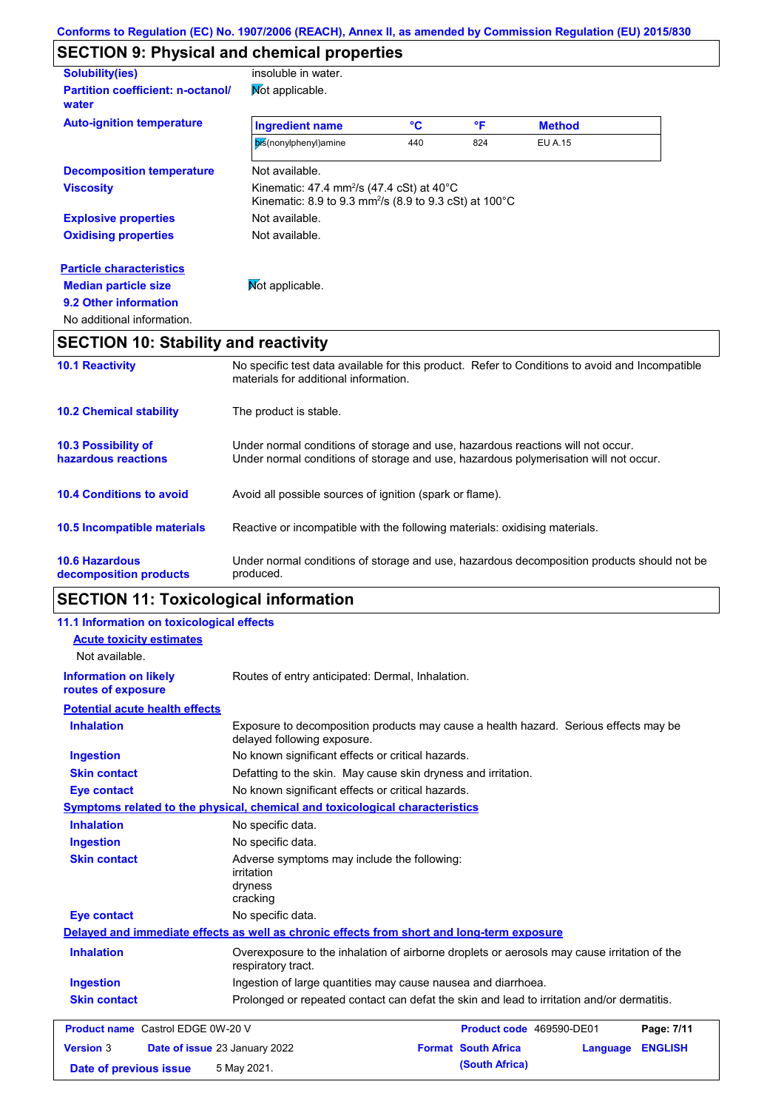# **SECTION 9: Physical and chemical properties**

| <b>Solubility(ies)</b>                            | insoluble in water.                                                                                                                              |     |     |               |  |
|---------------------------------------------------|--------------------------------------------------------------------------------------------------------------------------------------------------|-----|-----|---------------|--|
| <b>Partition coefficient: n-octanol/</b><br>water | Not applicable.                                                                                                                                  |     |     |               |  |
| <b>Auto-ignition temperature</b>                  | <b>Ingredient name</b>                                                                                                                           | °C  | °F  | <b>Method</b> |  |
|                                                   | bis(nonylphenyl)amine                                                                                                                            | 440 | 824 | EU A.15       |  |
| <b>Decomposition temperature</b>                  | Not available.                                                                                                                                   |     |     |               |  |
| <b>Viscosity</b>                                  | Kinematic: 47.4 mm <sup>2</sup> /s (47.4 cSt) at $40^{\circ}$ C<br>Kinematic: 8.9 to 9.3 mm <sup>2</sup> /s (8.9 to 9.3 cSt) at 100 $^{\circ}$ C |     |     |               |  |
| <b>Explosive properties</b>                       | Not available.                                                                                                                                   |     |     |               |  |
| <b>Oxidising properties</b>                       | Not available.                                                                                                                                   |     |     |               |  |
| <b>Particle characteristics</b>                   |                                                                                                                                                  |     |     |               |  |
| <b>Median particle size</b>                       | Mot applicable.                                                                                                                                  |     |     |               |  |
| 9.2 Other information                             |                                                                                                                                                  |     |     |               |  |
| No additional information.                        |                                                                                                                                                  |     |     |               |  |
| <b>SECTION 10: Stability and reactivity</b>       |                                                                                                                                                  |     |     |               |  |
|                                                   |                                                                                                                                                  |     |     |               |  |

| <b>10.6 Hazardous</b><br>decomposition products   | Under normal conditions of storage and use, hazardous decomposition products should not be<br>produced.                                                                 |
|---------------------------------------------------|-------------------------------------------------------------------------------------------------------------------------------------------------------------------------|
| 10.5 Incompatible materials                       | Reactive or incompatible with the following materials: oxidising materials.                                                                                             |
| <b>10.4 Conditions to avoid</b>                   | Avoid all possible sources of ignition (spark or flame).                                                                                                                |
| <b>10.3 Possibility of</b><br>hazardous reactions | Under normal conditions of storage and use, hazardous reactions will not occur.<br>Under normal conditions of storage and use, hazardous polymerisation will not occur. |
| <b>10.2 Chemical stability</b>                    | The product is stable.                                                                                                                                                  |
| <b>10.1 Reactivity</b>                            | No specific test data available for this product. Refer to Conditions to avoid and Incompatible<br>materials for additional information.                                |

# **SECTION 11: Toxicological information**

| 11.1 Information on toxicological effects          |                                                                                                                     |
|----------------------------------------------------|---------------------------------------------------------------------------------------------------------------------|
| <b>Acute toxicity estimates</b>                    |                                                                                                                     |
| Not available.                                     |                                                                                                                     |
| <b>Information on likely</b><br>routes of exposure | Routes of entry anticipated: Dermal, Inhalation.                                                                    |
| <b>Potential acute health effects</b>              |                                                                                                                     |
| <b>Inhalation</b>                                  | Exposure to decomposition products may cause a health hazard. Serious effects may be<br>delayed following exposure. |
| <b>Ingestion</b>                                   | No known significant effects or critical hazards.                                                                   |
| <b>Skin contact</b>                                | Defatting to the skin. May cause skin dryness and irritation.                                                       |
| <b>Eye contact</b>                                 | No known significant effects or critical hazards.                                                                   |
|                                                    | Symptoms related to the physical, chemical and toxicological characteristics                                        |
| <b>Inhalation</b>                                  | No specific data.                                                                                                   |
| <b>Ingestion</b>                                   | No specific data.                                                                                                   |
| <b>Skin contact</b>                                | Adverse symptoms may include the following:<br><i>irritation</i><br>dryness<br>cracking                             |
| <b>Eye contact</b>                                 | No specific data.                                                                                                   |
|                                                    | Delayed and immediate effects as well as chronic effects from short and long-term exposure                          |
| <b>Inhalation</b>                                  | Overexposure to the inhalation of airborne droplets or aerosols may cause irritation of the<br>respiratory tract.   |
| <b>Ingestion</b>                                   | Ingestion of large quantities may cause nausea and diarrhoea.                                                       |
| <b>Skin contact</b>                                | Prolonged or repeated contact can defat the skin and lead to irritation and/or dermatitis.                          |
| <b>Product name</b> Castrol EDGE 0W-20 V           | Page: 7/11<br>Product code 469590-DE01                                                                              |
| <b>Version 3</b>                                   | <b>Format South Africa</b><br><b>ENGLISH</b><br>Date of issue 23 January 2022<br>Language                           |
| Date of previous issue                             | (South Africa)<br>5 May 2021.                                                                                       |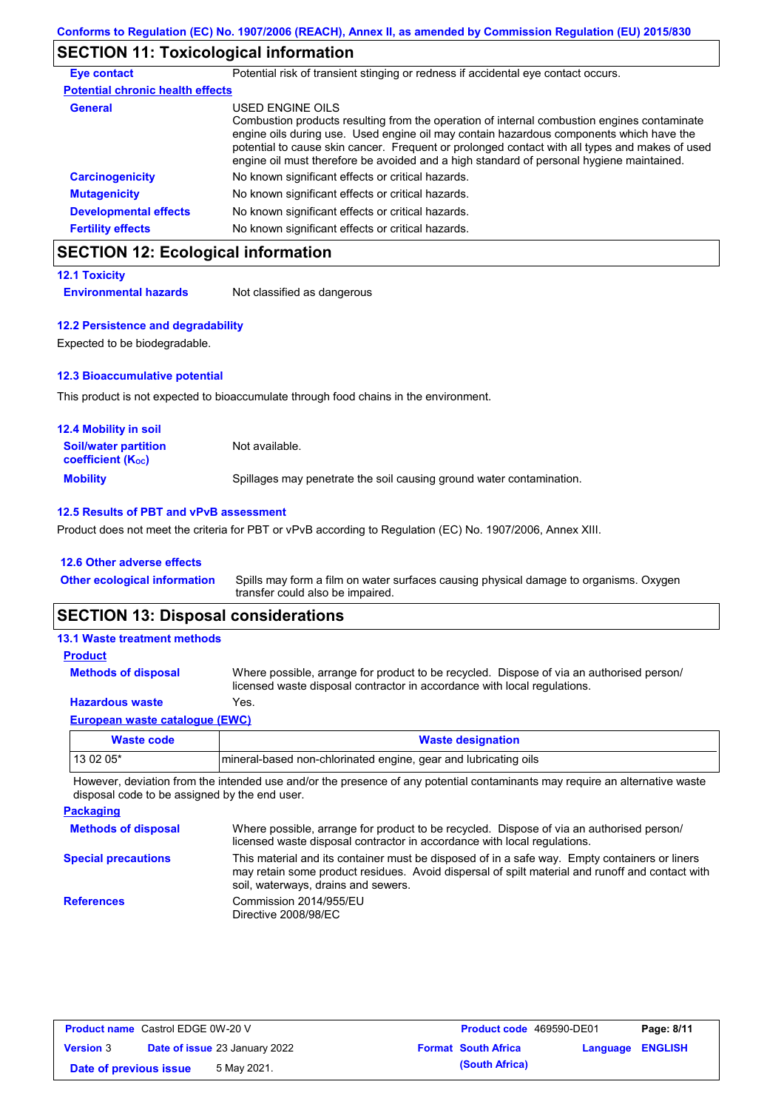# **SECTION 11: Toxicological information**

| <b>Eye contact</b>                      | Potential risk of transient stinging or redness if accidental eye contact occurs.                                                                                                                                                                                                                                                                                                                        |
|-----------------------------------------|----------------------------------------------------------------------------------------------------------------------------------------------------------------------------------------------------------------------------------------------------------------------------------------------------------------------------------------------------------------------------------------------------------|
| <b>Potential chronic health effects</b> |                                                                                                                                                                                                                                                                                                                                                                                                          |
| <b>General</b>                          | USED ENGINE OILS<br>Combustion products resulting from the operation of internal combustion engines contaminate<br>engine oils during use. Used engine oil may contain hazardous components which have the<br>potential to cause skin cancer. Frequent or prolonged contact with all types and makes of used<br>engine oil must therefore be avoided and a high standard of personal hygiene maintained. |
| <b>Carcinogenicity</b>                  | No known significant effects or critical hazards.                                                                                                                                                                                                                                                                                                                                                        |
| <b>Mutagenicity</b>                     | No known significant effects or critical hazards.                                                                                                                                                                                                                                                                                                                                                        |
| <b>Developmental effects</b>            | No known significant effects or critical hazards.                                                                                                                                                                                                                                                                                                                                                        |
| <b>Fertility effects</b>                | No known significant effects or critical hazards.                                                                                                                                                                                                                                                                                                                                                        |

# **SECTION 12: Ecological information**

**12.1 Toxicity**

**Environmental hazards** Not classified as dangerous

### **12.2 Persistence and degradability**

Expected to be biodegradable.

### **12.3 Bioaccumulative potential**

This product is not expected to bioaccumulate through food chains in the environment.

| <b>12.4 Mobility in soil</b>                            |                                                                      |
|---------------------------------------------------------|----------------------------------------------------------------------|
| <b>Soil/water partition</b><br><b>coefficient (Koc)</b> | Not available.                                                       |
| <b>Mobility</b>                                         | Spillages may penetrate the soil causing ground water contamination. |

### **12.5 Results of PBT and vPvB assessment**

Product does not meet the criteria for PBT or vPvB according to Regulation (EC) No. 1907/2006, Annex XIII.

### **12.6 Other adverse effects**

| <b>Other ecological information</b> | Spills may form a film on water surfaces causing physical damage to organisms. Oxygen |
|-------------------------------------|---------------------------------------------------------------------------------------|
|                                     | transfer could also be impaired.                                                      |

## **SECTION 13: Disposal considerations**

### **European waste catalogue (EWC) Hazardous waste** Yes. Where possible, arrange for product to be recycled. Dispose of via an authorised person/ licensed waste disposal contractor in accordance with local regulations. **Methods of disposal 13.1 Waste treatment methods Product**

| Waste code | <b>Waste designation</b>                                        |  |  |  |
|------------|-----------------------------------------------------------------|--|--|--|
| 13 02 05*  | mineral-based non-chlorinated engine, gear and lubricating oils |  |  |  |

However, deviation from the intended use and/or the presence of any potential contaminants may require an alternative waste disposal code to be assigned by the end user.

| <b>Packaging</b>           |                                                                                                                                                                                                                                         |
|----------------------------|-----------------------------------------------------------------------------------------------------------------------------------------------------------------------------------------------------------------------------------------|
| <b>Methods of disposal</b> | Where possible, arrange for product to be recycled. Dispose of via an authorised person/<br>licensed waste disposal contractor in accordance with local regulations.                                                                    |
| <b>Special precautions</b> | This material and its container must be disposed of in a safe way. Empty containers or liners<br>may retain some product residues. Avoid dispersal of spilt material and runoff and contact with<br>soil, waterways, drains and sewers. |
| <b>References</b>          | Commission 2014/955/EU<br>Directive 2008/98/EC                                                                                                                                                                                          |

| <b>Product name</b> Castrol EDGE 0W-20 V |  | <b>Product code</b> 469590-DE01      |  | Page: 8/11                 |                         |  |
|------------------------------------------|--|--------------------------------------|--|----------------------------|-------------------------|--|
| <b>Version 3</b>                         |  | <b>Date of issue 23 January 2022</b> |  | <b>Format South Africa</b> | <b>Language ENGLISH</b> |  |
| Date of previous issue                   |  | 5 May 2021.                          |  | (South Africa)             |                         |  |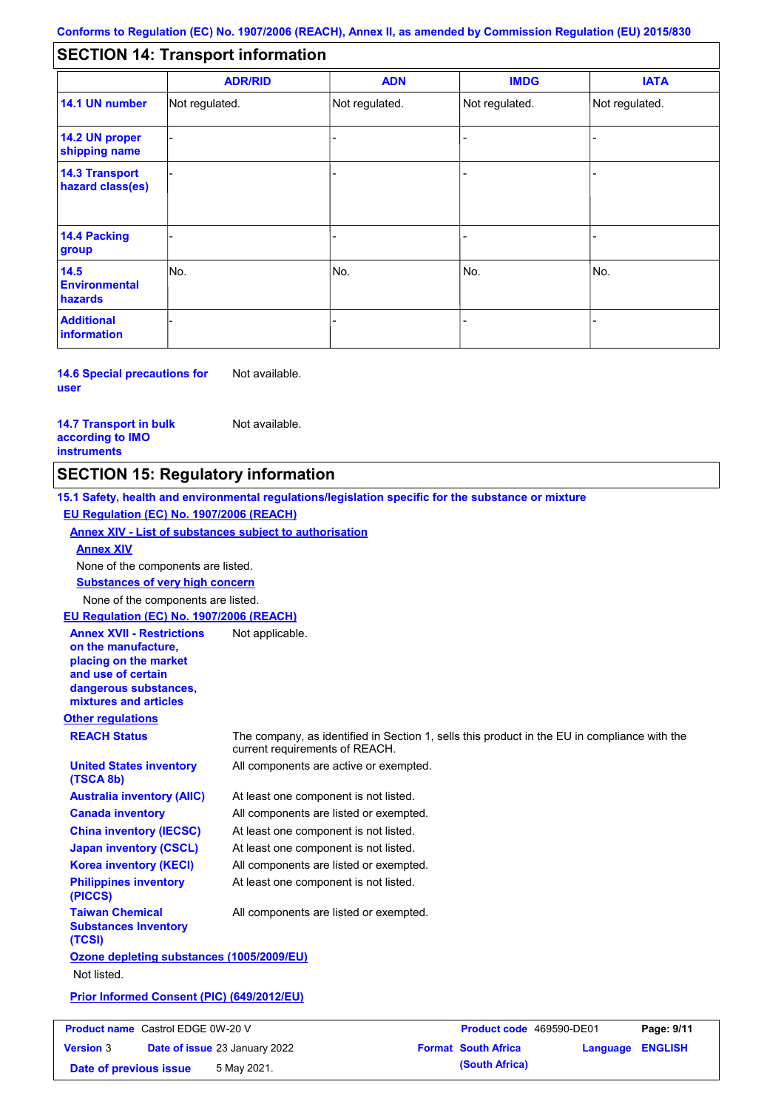#### - - - - - - - - - Not regulated. Not regulated. Not regulated. - - - **SECTION 14: Transport information ADR/RID IMDG IATA 14.1 UN number 14.2 UN proper shipping name 14.3 Transport hazard class(es) 14.4 Packing group ADN Additional information 14.5 Environmental hazards** No. 1980 | No. 1980 | No. 1980 | No. 1980 | No. 1980 | No. 1980 | No. 1980 | No. 1980 | No. 1980 | No. 1980 | Not regulated. - -<br>No. - -

**14.6 Special precautions for user** Not available.

### **14.7 Transport in bulk according to IMO instruments**

Not available.

## **SECTION 15: Regulatory information**

**Other regulations REACH Status** The company, as identified in Section 1, sells this product in the EU in compliance with the current requirements of REACH. **15.1 Safety, health and environmental regulations/legislation specific for the substance or mixture EU Regulation (EC) No. 1907/2006 (REACH) Annex XIV - List of substances subject to authorisation Substances of very high concern** None of the components are listed. At least one component is not listed. All components are listed or exempted. At least one component is not listed. At least one component is not listed. All components are active or exempted. All components are listed or exempted. At least one component is not listed. **United States inventory (TSCA 8b) Australia inventory (AIIC) Canada inventory China inventory (IECSC) Japan inventory (CSCL) Korea inventory (KECI) Philippines inventory (PICCS) Taiwan Chemical Substances Inventory (TCSI)** All components are listed or exempted. **Ozone depleting substances (1005/2009/EU)** Not listed. **Prior Informed Consent (PIC) (649/2012/EU)** None of the components are listed. **Annex XIV EU Regulation (EC) No. 1907/2006 (REACH) Annex XVII - Restrictions on the manufacture, placing on the market and use of certain dangerous substances, mixtures and articles** Not applicable.

| <b>Product name</b> Castrol EDGE 0W-20 V |                                      | <b>Product code</b> 469590-DE01 |                  | Page: 9/11 |
|------------------------------------------|--------------------------------------|---------------------------------|------------------|------------|
| <b>Version 3</b>                         | <b>Date of issue 23 January 2022</b> | <b>Format South Africa</b>      | Language ENGLISH |            |
| Date of previous issue                   | 5 May 2021.                          | (South Africa)                  |                  |            |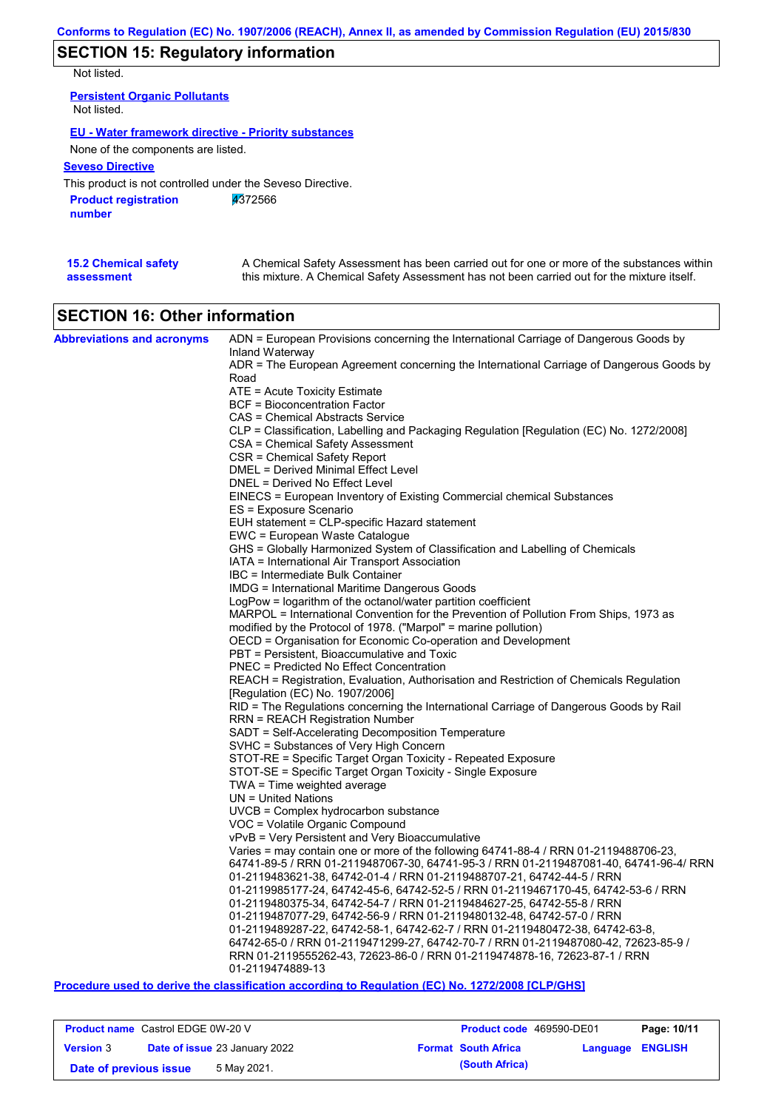# **SECTION 15: Regulatory information**

Not listed.

| <b>Persistent Organic Pollutants</b><br>Not listed.         |
|-------------------------------------------------------------|
| <b>EU - Water framework directive - Priority substances</b> |
| None of the components are listed.                          |
| <b>Seveso Directive</b>                                     |
| This product is not controlled under the Seveso Directive.  |
| 4372566<br><b>Product registration</b><br>number            |

| <b>15.2 Chemical safety</b> | A Chemical Safety Assessment has been carried out for one or more of the substances within  |
|-----------------------------|---------------------------------------------------------------------------------------------|
| assessment                  | this mixture. A Chemical Safety Assessment has not been carried out for the mixture itself. |

# **SECTION 16: Other information**

| <b>Abbreviations and acronyms</b> | ADN = European Provisions concerning the International Carriage of Dangerous Goods by                                                                           |
|-----------------------------------|-----------------------------------------------------------------------------------------------------------------------------------------------------------------|
|                                   | Inland Waterway                                                                                                                                                 |
|                                   | ADR = The European Agreement concerning the International Carriage of Dangerous Goods by                                                                        |
|                                   | Road<br>ATE = Acute Toxicity Estimate                                                                                                                           |
|                                   | <b>BCF</b> = Bioconcentration Factor                                                                                                                            |
|                                   | CAS = Chemical Abstracts Service                                                                                                                                |
|                                   | CLP = Classification, Labelling and Packaging Regulation [Regulation (EC) No. 1272/2008]                                                                        |
|                                   | CSA = Chemical Safety Assessment                                                                                                                                |
|                                   | CSR = Chemical Safety Report                                                                                                                                    |
|                                   | DMEL = Derived Minimal Effect Level                                                                                                                             |
|                                   | DNEL = Derived No Effect Level                                                                                                                                  |
|                                   | EINECS = European Inventory of Existing Commercial chemical Substances                                                                                          |
|                                   | ES = Exposure Scenario                                                                                                                                          |
|                                   | EUH statement = CLP-specific Hazard statement                                                                                                                   |
|                                   | EWC = European Waste Catalogue                                                                                                                                  |
|                                   | GHS = Globally Harmonized System of Classification and Labelling of Chemicals                                                                                   |
|                                   | IATA = International Air Transport Association                                                                                                                  |
|                                   | IBC = Intermediate Bulk Container                                                                                                                               |
|                                   | IMDG = International Maritime Dangerous Goods                                                                                                                   |
|                                   | LogPow = logarithm of the octanol/water partition coefficient                                                                                                   |
|                                   | MARPOL = International Convention for the Prevention of Pollution From Ships, 1973 as                                                                           |
|                                   | modified by the Protocol of 1978. ("Marpol" = marine pollution)                                                                                                 |
|                                   | OECD = Organisation for Economic Co-operation and Development                                                                                                   |
|                                   | PBT = Persistent, Bioaccumulative and Toxic                                                                                                                     |
|                                   | PNEC = Predicted No Effect Concentration                                                                                                                        |
|                                   | REACH = Registration, Evaluation, Authorisation and Restriction of Chemicals Regulation                                                                         |
|                                   | [Regulation (EC) No. 1907/2006]<br>RID = The Regulations concerning the International Carriage of Dangerous Goods by Rail                                       |
|                                   | RRN = REACH Registration Number                                                                                                                                 |
|                                   | SADT = Self-Accelerating Decomposition Temperature                                                                                                              |
|                                   | SVHC = Substances of Very High Concern                                                                                                                          |
|                                   | STOT-RE = Specific Target Organ Toxicity - Repeated Exposure                                                                                                    |
|                                   | STOT-SE = Specific Target Organ Toxicity - Single Exposure                                                                                                      |
|                                   | $TWA = Time$ weighted average                                                                                                                                   |
|                                   | $UN = United Nations$                                                                                                                                           |
|                                   | $UVCB = Complex\;hydrocarbon\; substance$                                                                                                                       |
|                                   | VOC = Volatile Organic Compound                                                                                                                                 |
|                                   | vPvB = Very Persistent and Very Bioaccumulative                                                                                                                 |
|                                   | Varies = may contain one or more of the following $64741-88-4$ / RRN 01-2119488706-23,                                                                          |
|                                   | 64741-89-5 / RRN 01-2119487067-30, 64741-95-3 / RRN 01-2119487081-40, 64741-96-4/ RRN                                                                           |
|                                   | 01-2119483621-38, 64742-01-4 / RRN 01-2119488707-21, 64742-44-5 / RRN                                                                                           |
|                                   | 01-2119985177-24, 64742-45-6, 64742-52-5 / RRN 01-2119467170-45, 64742-53-6 / RRN                                                                               |
|                                   | 01-2119480375-34, 64742-54-7 / RRN 01-2119484627-25, 64742-55-8 / RRN                                                                                           |
|                                   | 01-2119487077-29, 64742-56-9 / RRN 01-2119480132-48, 64742-57-0 / RRN                                                                                           |
|                                   | 01-2119489287-22, 64742-58-1, 64742-62-7 / RRN 01-2119480472-38, 64742-63-8,                                                                                    |
|                                   | 64742-65-0 / RRN 01-2119471299-27, 64742-70-7 / RRN 01-2119487080-42, 72623-85-9 /<br>RRN 01-2119555262-43, 72623-86-0 / RRN 01-2119474878-16, 72623-87-1 / RRN |
|                                   | 01-2119474889-13                                                                                                                                                |
|                                   | <b><i>Address Address</i></b><br>$\mathbf{r} = \mathbf{r} + \mathbf{r}$ (FA) $\mathbf{r} = \mathbf{r}$ (Application for Picture                                 |

**Procedure used to derive the classification according to Regulation (EC) No. 1272/2008 [CLP/GHS]**

| <b>Product name</b> Castrol EDGE 0W-20 V |                                      | <b>Product code</b> 469590-DE01 |                         | Page: 10/11 |
|------------------------------------------|--------------------------------------|---------------------------------|-------------------------|-------------|
| <b>Version 3</b>                         | <b>Date of issue 23 January 2022</b> | <b>Format South Africa</b>      | <b>Language ENGLISH</b> |             |
| Date of previous issue                   | 5 May 2021.                          | (South Africa)                  |                         |             |